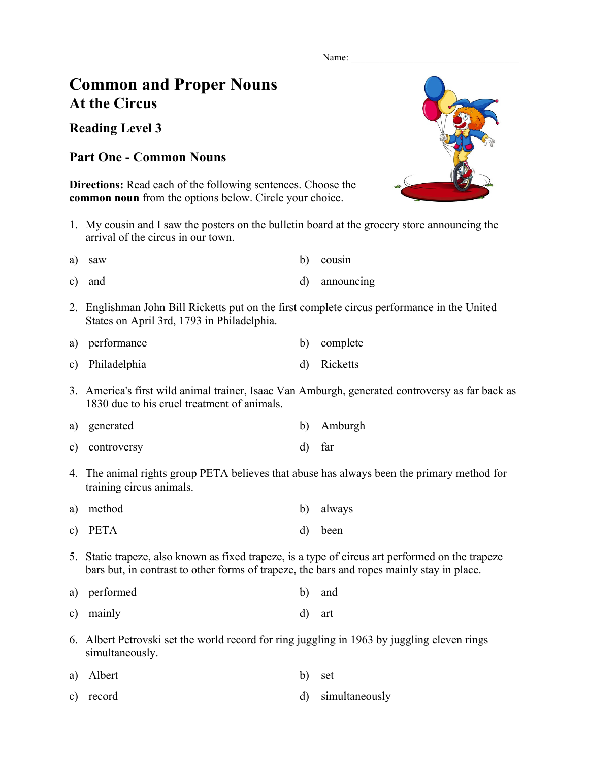Name:

## **Common and Proper Nouns At the Circus**

**Reading Level 3**

## **Part One - Common Nouns**

**Directions:** Read each of the following sentences. Choose the **common noun** from the options below. Circle your choice.

1. My cousin and I saw the posters on the bulletin board at the grocery store announcing the arrival of the circus in our town.

| a) | saw    | b) | cousin     |
|----|--------|----|------------|
|    | c) and |    | announcing |

2. Englishman John Bill Ricketts put on the first complete circus performance in the United States on April 3rd, 1793 in Philadelphia.

| a) performance  | b) complete |
|-----------------|-------------|
| c) Philadelphia | d) Ricketts |

- 3. America's first wild animal trainer, Isaac Van Amburgh, generated controversy as far back as 1830 due to his cruel treatment of animals.
- a) generated b) Amburgh
- c) controversy d) far
- 4. The animal rights group PETA believes that abuse has always been the primary method for training circus animals.

a) method b) always

- c) PETA d) been
- 5. Static trapeze, also known as fixed trapeze, is a type of circus art performed on the trapeze bars but, in contrast to other forms of trapeze, the bars and ropes mainly stay in place.
- a) performed b) and
- c) mainly d) art
- 6. Albert Petrovski set the world record for ring juggling in 1963 by juggling eleven rings simultaneously.

| a) Albert |  |  | b) set |  |
|-----------|--|--|--------|--|
|           |  |  |        |  |

c) record d) simultaneously

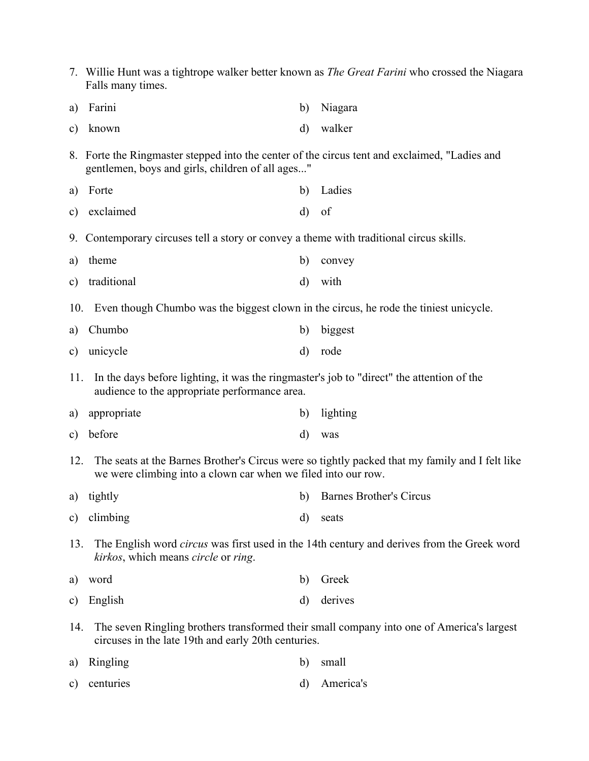|               | 7. Willie Hunt was a tightrope walker better known as <i>The Great Farini</i> who crossed the Niagara<br>Falls many times.                                      |              |                                |  |  |  |
|---------------|-----------------------------------------------------------------------------------------------------------------------------------------------------------------|--------------|--------------------------------|--|--|--|
| a)            | Farini                                                                                                                                                          | b)           | Niagara                        |  |  |  |
| C)            | known                                                                                                                                                           | $\mathbf{d}$ | walker                         |  |  |  |
|               | 8. Forte the Ringmaster stepped into the center of the circus tent and exclaimed, "Ladies and<br>gentlemen, boys and girls, children of all ages"               |              |                                |  |  |  |
| a)            | Forte                                                                                                                                                           | b)           | Ladies                         |  |  |  |
| $\mathbf{c})$ | exclaimed                                                                                                                                                       | $\mathbf{d}$ | of                             |  |  |  |
| 9.            | Contemporary circuses tell a story or convey a theme with traditional circus skills.                                                                            |              |                                |  |  |  |
| a)            | theme                                                                                                                                                           | b)           | convey                         |  |  |  |
| $\mathbf{c})$ | traditional                                                                                                                                                     | $\mathbf{d}$ | with                           |  |  |  |
| 10.           | Even though Chumbo was the biggest clown in the circus, he rode the tiniest unicycle.                                                                           |              |                                |  |  |  |
| a)            | Chumbo                                                                                                                                                          | b)           | biggest                        |  |  |  |
| $\mathbf{c})$ | unicycle                                                                                                                                                        | $\mathbf{d}$ | rode                           |  |  |  |
| 11.           | In the days before lighting, it was the ringmaster's job to "direct" the attention of the<br>audience to the appropriate performance area.                      |              |                                |  |  |  |
| a)            | appropriate                                                                                                                                                     | b)           | lighting                       |  |  |  |
| C)            | before                                                                                                                                                          | $\rm d$      | was                            |  |  |  |
| 12.           | The seats at the Barnes Brother's Circus were so tightly packed that my family and I felt like<br>we were climbing into a clown car when we filed into our row. |              |                                |  |  |  |
| a)            | tightly                                                                                                                                                         | b)           | <b>Barnes Brother's Circus</b> |  |  |  |
| $\mathbf{c})$ | climbing                                                                                                                                                        | d)           | seats                          |  |  |  |
| 13.           | The English word <i>circus</i> was first used in the 14th century and derives from the Greek word<br>kirkos, which means circle or ring.                        |              |                                |  |  |  |
| a)            | word                                                                                                                                                            | b)           | Greek                          |  |  |  |
| $\mathbf{c})$ | English                                                                                                                                                         | $\rm d)$     | derives                        |  |  |  |
| 14.           | The seven Ringling brothers transformed their small company into one of America's largest<br>circuses in the late 19th and early 20th centuries.                |              |                                |  |  |  |
| a)            | Ringling                                                                                                                                                        | b)           | small                          |  |  |  |
| $\mathbf{c})$ | centuries                                                                                                                                                       | d)           | America's                      |  |  |  |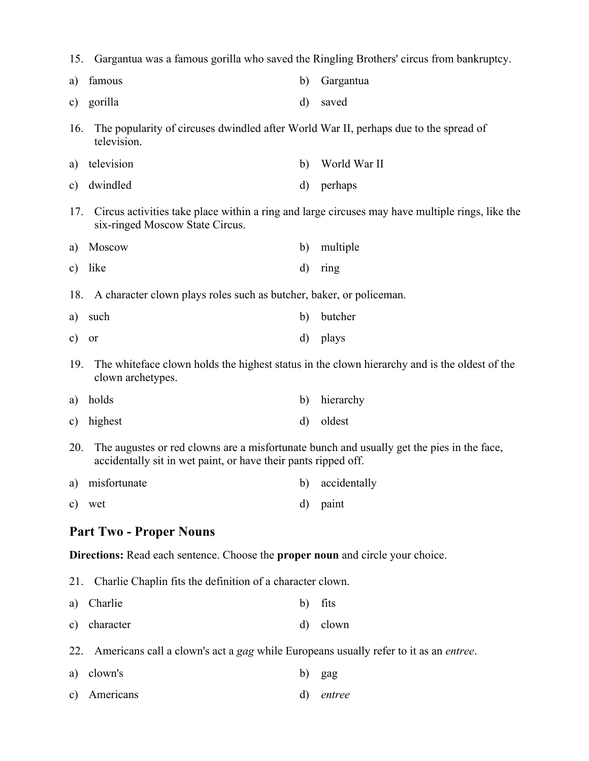|     | 15. Gargantua was a famous gorilla who saved the Ringling Brothers' circus from bankruptcy.                                                                 |              |                                                                                                 |  |  |  |
|-----|-------------------------------------------------------------------------------------------------------------------------------------------------------------|--------------|-------------------------------------------------------------------------------------------------|--|--|--|
| a)  | famous                                                                                                                                                      | b)           | Gargantua                                                                                       |  |  |  |
| c)  | gorilla                                                                                                                                                     | $\mathbf{d}$ | saved                                                                                           |  |  |  |
| 16. | The popularity of circuses dwindled after World War II, perhaps due to the spread of<br>television.                                                         |              |                                                                                                 |  |  |  |
| a)  | television                                                                                                                                                  | b)           | World War II                                                                                    |  |  |  |
| c)  | dwindled                                                                                                                                                    | $\mathbf{d}$ | perhaps                                                                                         |  |  |  |
| 17. | six-ringed Moscow State Circus.                                                                                                                             |              | Circus activities take place within a ring and large circuses may have multiple rings, like the |  |  |  |
| a)  | Moscow                                                                                                                                                      | b)           | multiple                                                                                        |  |  |  |
| c)  | like                                                                                                                                                        | $\rm d$      | ring                                                                                            |  |  |  |
| 18. | A character clown plays roles such as butcher, baker, or policeman.                                                                                         |              |                                                                                                 |  |  |  |
| a)  | such                                                                                                                                                        | b)           | butcher                                                                                         |  |  |  |
| c)  | or                                                                                                                                                          | $\mathbf{d}$ | plays                                                                                           |  |  |  |
| 19. | The white face clown holds the highest status in the clown hierarchy and is the oldest of the<br>clown archetypes.                                          |              |                                                                                                 |  |  |  |
| a)  | holds                                                                                                                                                       | b)           | hierarchy                                                                                       |  |  |  |
| c)  | highest                                                                                                                                                     | $\mathbf{d}$ | oldest                                                                                          |  |  |  |
| 20. | The augustes or red clowns are a misfortunate bunch and usually get the pies in the face,<br>accidentally sit in wet paint, or have their pants ripped off. |              |                                                                                                 |  |  |  |
| a)  | misfortunate                                                                                                                                                | b)           | accidentally                                                                                    |  |  |  |
|     | c) wet                                                                                                                                                      | $\mathbf{d}$ | paint                                                                                           |  |  |  |

## **Part Two - Proper Nouns**

**Directions:** Read each sentence. Choose the **proper noun** and circle your choice.

21. Charlie Chaplin fits the definition of a character clown.

- a) Charlie b) fits
- c) character d) clown
- 22. Americans call a clown's act a *gag* while Europeans usually refer to it as an *entree*.
- a) clown's b) gag c) Americans d) *entree*